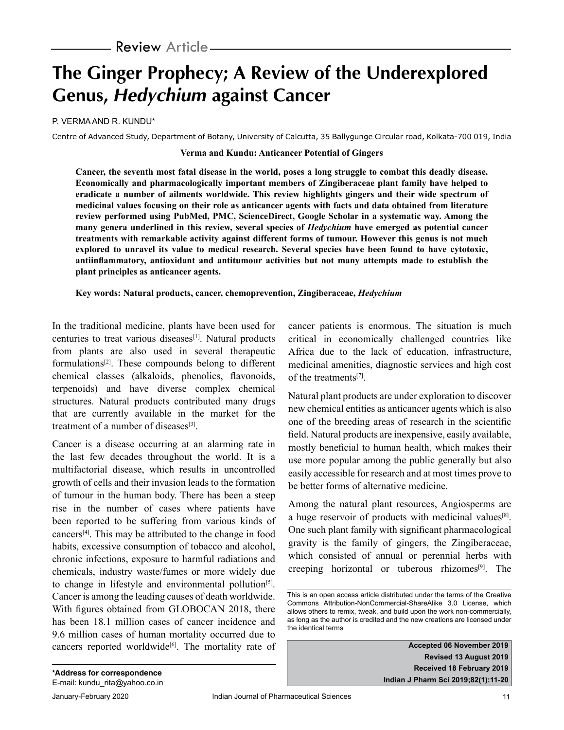# **The Ginger Prophecy; A Review of the Underexplored Genus, Hedychium against Cancer**

P. VERMA AND R. KUNDU\*

Centre of Advanced Study, Department of Botany, University of Calcutta, 35 Ballygunge Circular road, Kolkata-700 019, India

## **Verma and Kundu: Anticancer Potential of Gingers**

**Cancer, the seventh most fatal disease in the world, poses a long struggle to combat this deadly disease. Economically and pharmacologically important members of Zingiberaceae plant family have helped to eradicate a number of ailments worldwide. This review highlights gingers and their wide spectrum of medicinal values focusing on their role as anticancer agents with facts and data obtained from literature review performed using PubMed, PMC, ScienceDirect, Google Scholar in a systematic way. Among the many genera underlined in this review, several species of** *Hedychium* **have emerged as potential cancer treatments with remarkable activity against different forms of tumour. However this genus is not much explored to unravel its value to medical research. Several species have been found to have cytotoxic, antiinflammatory, antioxidant and antitumour activities but not many attempts made to establish the plant principles as anticancer agents.** 

**Key words: Natural products, cancer, chemoprevention, Zingiberaceae,** *Hedychium*

In the traditional medicine, plants have been used for centuries to treat various diseases[1]. Natural products from plants are also used in several therapeutic formulations[2]. These compounds belong to different chemical classes (alkaloids, phenolics, flavonoids, terpenoids) and have diverse complex chemical structures. Natural products contributed many drugs that are currently available in the market for the treatment of a number of diseases<sup>[3]</sup>.

Cancer is a disease occurring at an alarming rate in the last few decades throughout the world. It is a multifactorial disease, which results in uncontrolled growth of cells and their invasion leads to the formation of tumour in the human body. There has been a steep rise in the number of cases where patients have been reported to be suffering from various kinds of cancers[4]. This may be attributed to the change in food habits, excessive consumption of tobacco and alcohol, chronic infections, exposure to harmful radiations and chemicals, industry waste/fumes or more widely due to change in lifestyle and environmental pollution<sup>[5]</sup>. Cancer is among the leading causes of death worldwide. With figures obtained from GLOBOCAN 2018, there has been 18.1 million cases of cancer incidence and 9.6 million cases of human mortality occurred due to cancers reported worldwide<sup>[6]</sup>. The mortality rate of cancer patients is enormous. The situation is much critical in economically challenged countries like Africa due to the lack of education, infrastructure, medicinal amenities, diagnostic services and high cost of the treatments<sup>[7]</sup>.

Natural plant products are under exploration to discover new chemical entities as anticancer agents which is also one of the breeding areas of research in the scientific field. Natural products are inexpensive, easily available, mostly beneficial to human health, which makes their use more popular among the public generally but also easily accessible for research and at most times prove to be better forms of alternative medicine.

Among the natural plant resources, Angiosperms are a huge reservoir of products with medicinal values<sup>[8]</sup>. One such plant family with significant pharmacological gravity is the family of gingers, the Zingiberaceae, which consisted of annual or perennial herbs with creeping horizontal or tuberous rhizomes[9]. The

**Accepted 06 November 2019 Revised 13 August 2019 Received 18 February 2019 Indian J Pharm Sci 2019;82(1):11-20**

This is an open access article distributed under the terms of the Creative Commons Attribution-NonCommercial-ShareAlike 3.0 License, which allows others to remix, tweak, and build upon the work non-commercially, as long as the author is credited and the new creations are licensed under the identical terms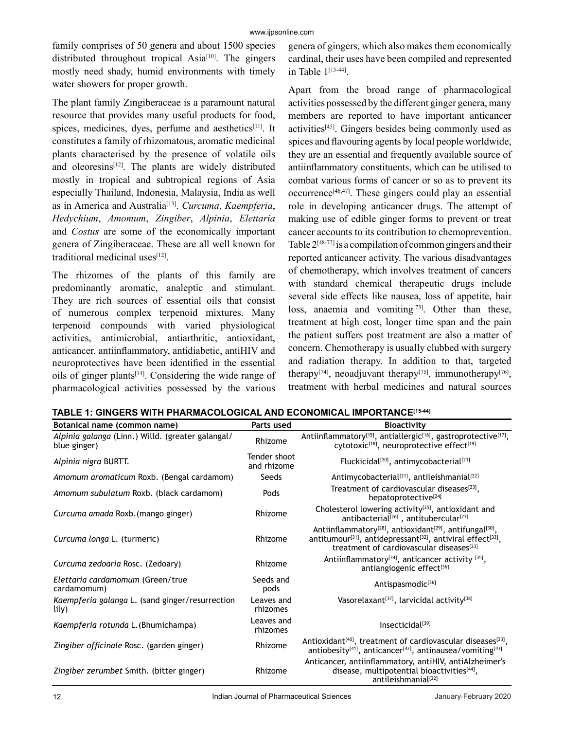family comprises of 50 genera and about 1500 species distributed throughout tropical Asia<sup>[10]</sup>. The gingers mostly need shady, humid environments with timely water showers for proper growth.

The plant family Zingiberaceae is a paramount natural resource that provides many useful products for food, spices, medicines, dyes, perfume and aesthetics $[11]$ . It constitutes a family of rhizomatous, aromatic medicinal plants characterised by the presence of volatile oils and oleoresins<sup>[12]</sup>. The plants are widely distributed mostly in tropical and subtropical regions of Asia especially Thailand, Indonesia, Malaysia, India as well as in America and Australia<sup>[13]</sup>. *Curcuma, Kaempferia, Hedychium*, *Amomum*, *Zingiber*, *Alpinia*, *Elettaria*  and *Costus* are some of the economically important genera of Zingiberaceae. These are all well known for traditional medicinal uses<sup>[12]</sup>.

The rhizomes of the plants of this family are predominantly aromatic, analeptic and stimulant. They are rich sources of essential oils that consist of numerous complex terpenoid mixtures. Many terpenoid compounds with varied physiological activities, antimicrobial, antiarthritic, antioxidant, anticancer, antiinflammatory, antidiabetic, antiHIV and neuroprotectives have been identified in the essential oils of ginger plants<sup>[14]</sup>. Considering the wide range of pharmacological activities possessed by the various genera of gingers, which also makes them economically cardinal, their uses have been compiled and represented in Table 1[15-44] .

Apart from the broad range of pharmacological activities possessed by the different ginger genera, many members are reported to have important anticancer  $\arctivities^{[45]}$ . Gingers besides being commonly used as spices and flavouring agents by local people worldwide, they are an essential and frequently available source of antiinflammatory constituents, which can be utilised to combat various forms of cancer or so as to prevent its  $occurrence^{[46,47]}$ . These gingers could play an essential role in developing anticancer drugs. The attempt of making use of edible ginger forms to prevent or treat cancer accounts to its contribution to chemoprevention. Table  $2^{[48-72]}$  is a compilation of common gingers and their reported anticancer activity. The various disadvantages of chemotherapy, which involves treatment of cancers with standard chemical therapeutic drugs include several side effects like nausea, loss of appetite, hair loss, anaemia and vomiting<sup>[73]</sup>. Other than these, treatment at high cost, longer time span and the pain the patient suffers post treatment are also a matter of concern. Chemotherapy is usually clubbed with surgery and radiation therapy. In addition to that, targeted therapy<sup>[74]</sup>, neoadjuvant therapy<sup>[75]</sup>, immunotherapy<sup>[76]</sup>, treatment with herbal medicines and natural sources

| Botanical name (common name)                                      | Parts used                  | <b>Bioactivity</b>                                                                                                                                                                                                                                        |
|-------------------------------------------------------------------|-----------------------------|-----------------------------------------------------------------------------------------------------------------------------------------------------------------------------------------------------------------------------------------------------------|
| Alpinia galanga (Linn.) Willd. (greater galangal/<br>blue ginger) | Rhizome                     | Antiinflammatory <sup>[15]</sup> , antiallergic <sup>[16]</sup> , gastroprotective <sup>[17]</sup> ,<br>cytotoxic <sup>[18]</sup> , neuroprotective effect <sup>[19]</sup>                                                                                |
| Alpinia nigra BURTT.                                              | Tender shoot<br>and rhizome | Fluckicidal <sup>[20]</sup> , antimycobacterial <sup>[21]</sup>                                                                                                                                                                                           |
| Amomum aromaticum Roxb. (Bengal cardamom)                         | Seeds                       | Antimycobacterial <sup>[21]</sup> , antileishmanial <sup>[22]</sup>                                                                                                                                                                                       |
| Amomum subulatum Roxb. (black cardamom)                           | Pods                        | Treatment of cardiovascular diseases <sup>[23]</sup> ,<br>hepatoprotective <sup>[24]</sup>                                                                                                                                                                |
| Curcuma amada Roxb. (mango ginger)                                | Rhizome                     | Cholesterol lowering activity <sup>[25]</sup> , antioxidant and<br>antibacterial <sup>[26]</sup> , antitubercular <sup>[27]</sup>                                                                                                                         |
| Curcuma longa L. (turmeric)                                       | Rhizome                     | Antiinflammatory <sup>[28]</sup> , antioxidant <sup>[29]</sup> , antifungal <sup>[30]</sup> ,<br>antitumour <sup>[31]</sup> , antidepressant <sup>[32]</sup> , antiviral effect <sup>[33]</sup> ,<br>treatment of cardiovascular diseases <sup>[23]</sup> |
| Curcuma zedoaria Rosc. (Zedoary)                                  | Rhizome                     | Antiinflammatory <sup>[34]</sup> , anticancer activity $[35]$ ,<br>antiangiogenic effect[36]                                                                                                                                                              |
| Elettaria cardamomum (Green/true<br>cardamomum)                   | Seeds and<br>pods           | Antispasmodic <sup>[36]</sup>                                                                                                                                                                                                                             |
| Kaempferia galanga L. (sand ginger/resurrection<br>lily)          | Leaves and<br>rhizomes      | Vasorelaxant <sup>[37]</sup> , larvicidal activity <sup>[38]</sup>                                                                                                                                                                                        |
| Kaempferia rotunda L. (Bhumichampa)                               | Leaves and<br>rhizomes      | Insecticidal <sup>[39]</sup>                                                                                                                                                                                                                              |
| Zingiber officinale Rosc. (garden ginger)                         | Rhizome                     | Antioxidant <sup>[40]</sup> , treatment of cardiovascular diseases <sup>[23]</sup> ,<br>antiobesity <sup>[41]</sup> , anticancer <sup>[42]</sup> , antinausea/vomiting <sup>[43]</sup>                                                                    |
| Zingiber zerumbet Smith. (bitter ginger)                          | Rhizome                     | Anticancer, antiinflammatory, antiHIV, antiAlzheimer's<br>disease, multipotential bioactivities[44],<br>antileishmanial <sup>[22]</sup>                                                                                                                   |

**TABLE 1: GINGERS WITH PHARMACOLOGICAL AND ECONOMICAL IMPORTANCE[15-44]**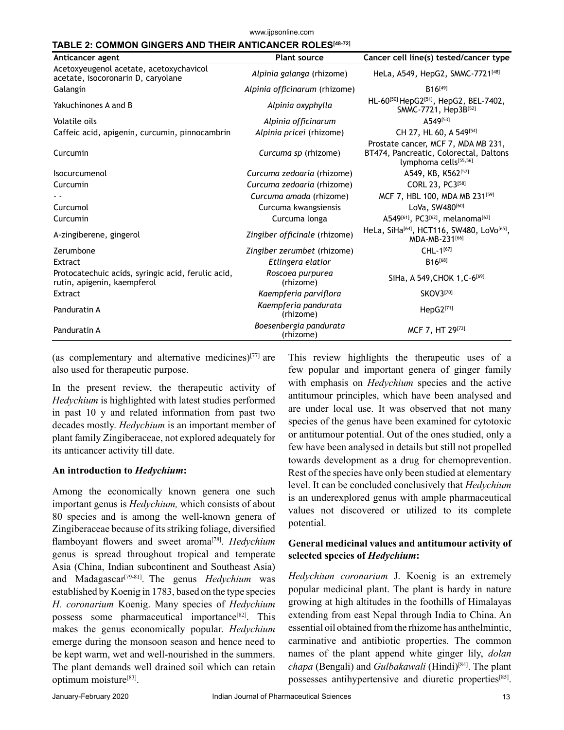#### www.ijpsonline.com

### **TABLE 2: COMMON GINGERS AND THEIR ANTICANCER ROLES[48-72]**

| Anticancer agent                                                                  | <b>Plant source</b>                 | Cancer cell line(s) tested/cancer type                                                                             |
|-----------------------------------------------------------------------------------|-------------------------------------|--------------------------------------------------------------------------------------------------------------------|
| Acetoxyeugenol acetate, acetoxychavicol<br>acetate, isocoronarin D, caryolane     | Alpinia galanga (rhizome)           | HeLa, A549, HepG2, SMMC-7721 <sup>[48]</sup>                                                                       |
| Galangin                                                                          | Alpinia officinarum (rhizome)       | $B16^{[49]}$                                                                                                       |
| Yakuchinones A and B                                                              | Alpinia oxyphylla                   | HL-60[50] HepG2[51], HepG2, BEL-7402,<br>SMMC-7721, Hep3B[52]                                                      |
| Volatile oils                                                                     | Alpinia officinarum                 | A549[53]                                                                                                           |
| Caffeic acid, apigenin, curcumin, pinnocambrin                                    | Alpinia pricei (rhizome)            | CH 27, HL 60, A 549[54]                                                                                            |
| Curcumin                                                                          | Curcuma sp (rhizome)                | Prostate cancer, MCF 7, MDA MB 231,<br>BT474, Pancreatic, Colorectal, Daltons<br>lymphoma cells <sup>[55,56]</sup> |
| <b>Isocurcumenol</b>                                                              | Curcuma zedoaria (rhizome)          | A549, KB, K562[57]                                                                                                 |
| Curcumin                                                                          | Curcuma zedoaria (rhizome)          | CORL 23, PC3 <sup>[58]</sup>                                                                                       |
|                                                                                   | Curcuma amada (rhizome)             | MCF 7, HBL 100, MDA MB 231[59]                                                                                     |
| Curcumol                                                                          | Curcuma kwangsiensis                | LoVa, SW480[60]                                                                                                    |
| Curcumin                                                                          | Curcuma longa                       | A549[61], PC3[62], melanoma <sup>[63]</sup>                                                                        |
| A-zingiberene, gingerol                                                           | Zingiber officinale (rhizome)       | HeLa, SiHa <sup>[64]</sup> , HCT116, SW480, LoVo <sup>[65]</sup> ,<br>MDA-MB-231[66]                               |
| Zerumbone                                                                         | Zingiber zerumbet (rhizome)         | CHL-1[67]                                                                                                          |
| Extract                                                                           | Etlingera elatior                   | B <sub>16[68]</sub>                                                                                                |
| Protocatechuic acids, syringic acid, ferulic acid,<br>rutin, apigenin, kaempferol | Roscoea purpurea<br>(rhizome)       | SiHa, A 549, CHOK 1, C-6 <sup>[69]</sup>                                                                           |
| Extract                                                                           | Kaempferia parviflora               | <b>SKOV3[70]</b>                                                                                                   |
| Panduratin A                                                                      | Kaempferia pandurata<br>(rhizome)   | $HepG2^{[71]}$                                                                                                     |
| Panduratin A                                                                      | Boesenbergia pandurata<br>(rhizome) | MCF 7, HT 29[72]                                                                                                   |

(as complementary and alternative medicines) $[77]$  are also used for therapeutic purpose.

In the present review, the therapeutic activity of *Hedychium* is highlighted with latest studies performed in past 10 y and related information from past two decades mostly. *Hedychium* is an important member of plant family Zingiberaceae, not explored adequately for its anticancer activity till date.

### **An introduction to** *Hedychium***:**

Among the economically known genera one such important genus is *Hedychium,* which consists of about 80 species and is among the well-known genera of Zingiberaceae because of its striking foliage, diversified flamboyant flowers and sweet aroma<sup>[78]</sup>. *Hedychium* genus is spread throughout tropical and temperate Asia (China, Indian subcontinent and Southeast Asia) and Madagascar[79-81] . The genus *Hedychium* was established by Koenig in 1783, based on the type species *H. coronarium* Koenig. Many species of *Hedychium* possess some pharmaceutical importance<sup>[82]</sup>. This makes the genus economically popular. *Hedychium* emerge during the monsoon season and hence need to be kept warm, wet and well-nourished in the summers. The plant demands well drained soil which can retain optimum moisture<sup>[83]</sup>.

This review highlights the therapeutic uses of a few popular and important genera of ginger family with emphasis on *Hedychium* species and the active antitumour principles, which have been analysed and are under local use. It was observed that not many species of the genus have been examined for cytotoxic or antitumour potential. Out of the ones studied, only a few have been analysed in details but still not propelled towards development as a drug for chemoprevention. Rest of the species have only been studied at elementary level. It can be concluded conclusively that *Hedychium* is an underexplored genus with ample pharmaceutical values not discovered or utilized to its complete potential.

## **General medicinal values and antitumour activity of selected species of** *Hedychium***:**

*Hedychium coronarium* J. Koenig is an extremely popular medicinal plant. The plant is hardy in nature growing at high altitudes in the foothills of Himalayas extending from east Nepal through India to China. An essential oil obtained from the rhizome has anthelmintic, carminative and antibiotic properties. The common names of the plant append white ginger lily, *dolan chapa* (Bengali) and *Gulbakawali* (Hindi)[84]. The plant possesses antihypertensive and diuretic properties<sup>[85]</sup>.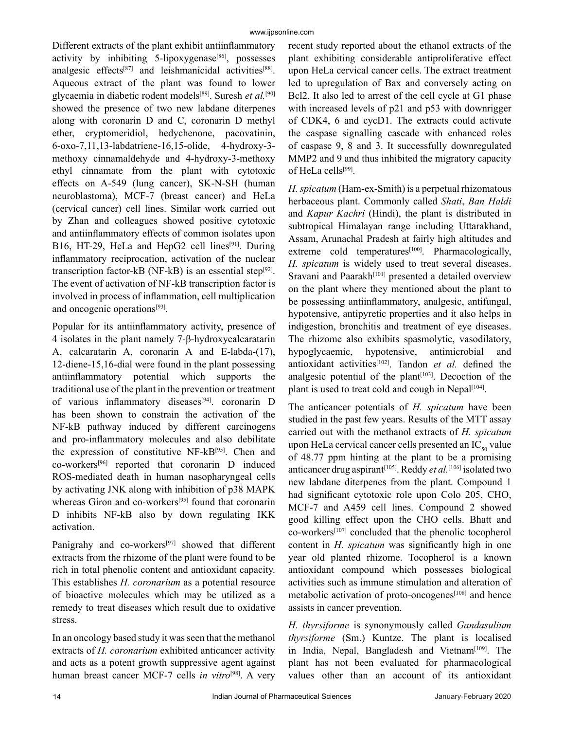Different extracts of the plant exhibit antiinflammatory activity by inhibiting  $5$ -lipoxygenase<sup>[86]</sup>, possesses analgesic effects<sup>[87]</sup> and leishmanicidal activities<sup>[88]</sup>. Aqueous extract of the plant was found to lower glycaemia in diabetic rodent models[89]. Suresh *et al.*[90] showed the presence of two new labdane diterpenes along with coronarin D and C, coronarin D methyl ether, cryptomeridiol, hedychenone, pacovatinin, 6-oxo-7,11,13-labdatriene-16,15-olide, 4-hydroxy-3 methoxy cinnamaldehyde and 4-hydroxy-3-methoxy ethyl cinnamate from the plant with cytotoxic effects on A-549 (lung cancer), SK-N-SH (human neuroblastoma), MCF-7 (breast cancer) and HeLa (cervical cancer) cell lines. Similar work carried out by Zhan and colleagues showed positive cytotoxic and antiinflammatory effects of common isolates upon B16, HT-29, HeLa and HepG2 cell lines<sup>[91]</sup>. During inflammatory reciprocation, activation of the nuclear transcription factor-kB (NF-kB) is an essential step $[92]$ . The event of activation of NF-kB transcription factor is involved in process of inflammation, cell multiplication and oncogenic operations<sup>[93]</sup>.

Popular for its antiinflammatory activity, presence of 4 isolates in the plant namely 7-β-hydroxycalcaratarin A, calcaratarin A, coronarin A and E-labda-(17), 12-diene-15,16-dial were found in the plant possessing antiinflammatory potential which supports the traditional use of the plant in the prevention or treatment of various inflammatory diseases<sup>[94]</sup>. coronarin D has been shown to constrain the activation of the NF-kB pathway induced by different carcinogens and pro-inflammatory molecules and also debilitate the expression of constitutive NF-kB[95]. Chen and co-workers[96] reported that coronarin D induced ROS-mediated death in human nasopharyngeal cells by activating JNK along with inhibition of p38 MAPK whereas Giron and co-workers<sup>[95]</sup> found that coronarin D inhibits NF-kB also by down regulating IKK activation.

Panigrahy and co-workers<sup>[97]</sup> showed that different extracts from the rhizome of the plant were found to be rich in total phenolic content and antioxidant capacity. This establishes *H. coronarium* as a potential resource of bioactive molecules which may be utilized as a remedy to treat diseases which result due to oxidative stress.

In an oncology based study it was seen that the methanol extracts of *H. coronarium* exhibited anticancer activity and acts as a potent growth suppressive agent against human breast cancer MCF-7 cells *in vitro*<sup>[98]</sup>. A very recent study reported about the ethanol extracts of the plant exhibiting considerable antiproliferative effect upon HeLa cervical cancer cells. The extract treatment led to upregulation of Bax and conversely acting on Bcl2. It also led to arrest of the cell cycle at G1 phase with increased levels of p21 and p53 with downrigger of CDK4, 6 and cycD1. The extracts could activate the caspase signalling cascade with enhanced roles of caspase 9, 8 and 3. It successfully downregulated MMP2 and 9 and thus inhibited the migratory capacity of HeLa cells<sup>[99]</sup>.

*H. spicatum* (Ham-ex-Smith) is a perpetual rhizomatous herbaceous plant. Commonly called *Shati*, *Ban Haldi* and *Kapur Kachri* (Hindi), the plant is distributed in subtropical Himalayan range including Uttarakhand, Assam, Arunachal Pradesh at fairly high altitudes and extreme cold temperatures<sup>[100]</sup>. Pharmacologically, *H. spicatum* is widely used to treat several diseases. Sravani and Paarakh<sup>[101]</sup> presented a detailed overview on the plant where they mentioned about the plant to be possessing antiinflammatory, analgesic, antifungal, hypotensive, antipyretic properties and it also helps in indigestion, bronchitis and treatment of eye diseases. The rhizome also exhibits spasmolytic, vasodilatory, hypoglycaemic, hypotensive, antimicrobial and antioxidant activities<sup>[102]</sup>. Tandon *et al.* defined the analgesic potential of the plant<sup> $[103]$ </sup>. Decoction of the plant is used to treat cold and cough in Nepal<sup>[104]</sup>.

The anticancer potentials of *H. spicatum* have been studied in the past few years. Results of the MTT assay carried out with the methanol extracts of *H. spicatum* upon HeLa cervical cancer cells presented an  $IC_{\zeta_0}$  value of 48.77 ppm hinting at the plant to be a promising anticancer drug aspirant<sup>[105]</sup>. Reddy *et al*.<sup>[106]</sup> isolated two new labdane diterpenes from the plant. Compound 1 had significant cytotoxic role upon Colo 205, CHO, MCF-7 and A459 cell lines. Compound 2 showed good killing effect upon the CHO cells. Bhatt and co-workers[107] concluded that the phenolic tocopherol content in *H. spicatum* was significantly high in one year old planted rhizome. Tocopherol is a known antioxidant compound which possesses biological activities such as immune stimulation and alteration of metabolic activation of proto-oncogenes<sup>[108]</sup> and hence assists in cancer prevention.

*H. thyrsiforme* is synonymously called *Gandasulium thyrsiforme* (Sm.) Kuntze. The plant is localised in India, Nepal, Bangladesh and Vietnam<sup>[109]</sup>. The plant has not been evaluated for pharmacological values other than an account of its antioxidant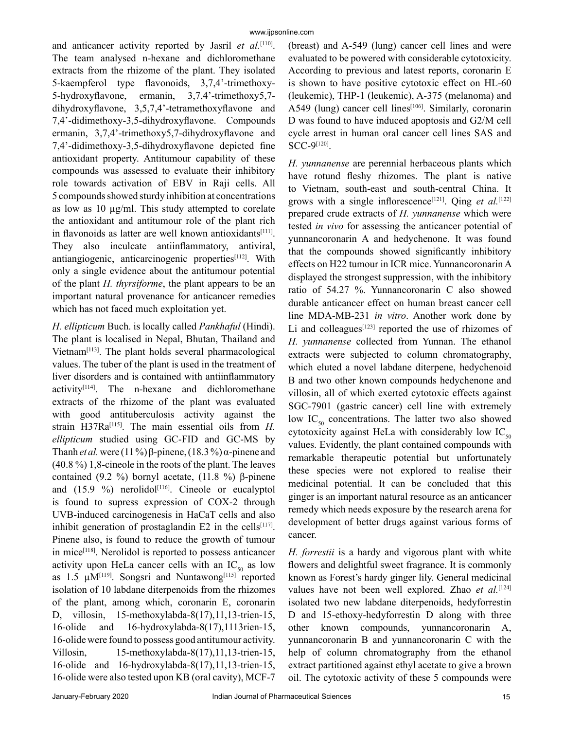and anticancer activity reported by Jasril et al.<sup>[110]</sup>. The team analysed n-hexane and dichloromethane extracts from the rhizome of the plant. They isolated 5-kaempferol type flavonoids, 3,7,4'-trimethoxy-5-hydroxyflavone, ermanin, 3,7,4'-trimethoxy5,7 dihydroxyflavone, 3,5,7,4'-tetramethoxyflavone and 7,4'-didimethoxy-3,5-dihydroxyflavone. Compounds ermanin, 3,7,4'-trimethoxy5,7-dihydroxyflavone and 7,4'-didimethoxy-3,5-dihydroxyflavone depicted fine antioxidant property. Antitumour capability of these compounds was assessed to evaluate their inhibitory role towards activation of EBV in Raji cells. All 5 compounds showed sturdy inhibition at concentrations as low as 10 µg/ml. This study attempted to corelate the antioxidant and antitumour role of the plant rich in flavonoids as latter are well known antioxidants<sup>[111]</sup>. They also inculcate antiinflammatory, antiviral, antiangiogenic, anticarcinogenic properties<sup>[112]</sup>. With only a single evidence about the antitumour potential of the plant *H. thyrsiforme*, the plant appears to be an important natural provenance for anticancer remedies which has not faced much exploitation yet.

*H. ellipticum* Buch. is locally called *Pankhaful* (Hindi). The plant is localised in Nepal, Bhutan, Thailand and Vietnam $[113]$ . The plant holds several pharmacological values. The tuber of the plant is used in the treatment of liver disorders and is contained with antiinflammatory  $\arcsin\left(\frac{1}{14}\right)$ . The n-hexane and dichloromethane extracts of the rhizome of the plant was evaluated with good antituberculosis activity against the strain H37Ra<sup>[115]</sup>. The main essential oils from *H*. *ellipticum* studied using GC-FID and GC-MS by Thanh *et al.* were (11 %) β-pinene, (18.3 %) α-pinene and (40.8 %) 1,8-cineole in the roots of the plant. The leaves contained (9.2 %) bornyl acetate, (11.8 %) β-pinene and  $(15.9 \%)$  nerolidol<sup>[116]</sup>. Cineole or eucalyptol is found to supress expression of COX-2 through UVB-induced carcinogenesis in HaCaT cells and also inhibit generation of prostaglandin  $E2$  in the cells<sup>[117]</sup>. Pinene also, is found to reduce the growth of tumour in mice<sup>[118]</sup>. Nerolidol is reported to possess anticancer activity upon HeLa cancer cells with an  $IC_{50}$  as low as  $1.5 \mu M^{[119]}$ . Songsri and Nuntawong<sup>[115]</sup> reported isolation of 10 labdane diterpenoids from the rhizomes of the plant, among which, coronarin E, coronarin D, villosin, 15-methoxylabda-8(17),11,13-trien-15, 16-olide and 16-hydroxylabda-8(17),1113rien-15, 16-olide were found to possess good antitumour activity. Villosin, 15-methoxylabda-8(17),11,13-trien-15, 16-olide and 16-hydroxylabda-8(17),11,13-trien-15, 16-olide were also tested upon KB (oral cavity), MCF-7

(breast) and A-549 (lung) cancer cell lines and were evaluated to be powered with considerable cytotoxicity. According to previous and latest reports, coronarin E is shown to have positive cytotoxic effect on HL-60 (leukemic), THP-1 (leukemic), A-375 (melanoma) and A549 (lung) cancer cell lines<sup>[106]</sup>. Similarly, coronarin D was found to have induced apoptosis and G2/M cell cycle arrest in human oral cancer cell lines SAS and SCC-9[120] .

*H. yunnanense* are perennial herbaceous plants which have rotund fleshy rhizomes. The plant is native to Vietnam, south-east and south-central China. It grows with a single inflorescence<sup>[121]</sup>. Qing *et al.*<sup>[122]</sup> prepared crude extracts of *H. yunnanense* which were tested *in vivo* for assessing the anticancer potential of yunnancoronarin A and hedychenone. It was found that the compounds showed significantly inhibitory effects on H22 tumour in ICR mice. Yunnancoronarin A displayed the strongest suppression, with the inhibitory ratio of 54.27 %. Yunnancoronarin C also showed durable anticancer effect on human breast cancer cell line MDA-MB-231 *in vitro*. Another work done by Li and colleagues $[123]$  reported the use of rhizomes of *H. yunnanense* collected from Yunnan. The ethanol extracts were subjected to column chromatography, which eluted a novel labdane diterpene, hedychenoid B and two other known compounds hedychenone and villosin, all of which exerted cytotoxic effects against SGC-7901 (gastric cancer) cell line with extremely low  $IC_{50}$  concentrations. The latter two also showed cytotoxicity against HeLa with considerably low  $IC_{50}$ values. Evidently, the plant contained compounds with remarkable therapeutic potential but unfortunately these species were not explored to realise their medicinal potential. It can be concluded that this ginger is an important natural resource as an anticancer remedy which needs exposure by the research arena for development of better drugs against various forms of cancer.

*H. forrestii* is a hardy and vigorous plant with white flowers and delightful sweet fragrance. It is commonly known as Forest's hardy ginger lily. General medicinal values have not been well explored. Zhao et al.<sup>[124]</sup> isolated two new labdane diterpenoids, hedyforrestin D and 15-ethoxy-hedyforrestin D along with three other known compounds, yunnancoronarin A, yunnancoronarin B and yunnancoronarin C with the help of column chromatography from the ethanol extract partitioned against ethyl acetate to give a brown oil. The cytotoxic activity of these 5 compounds were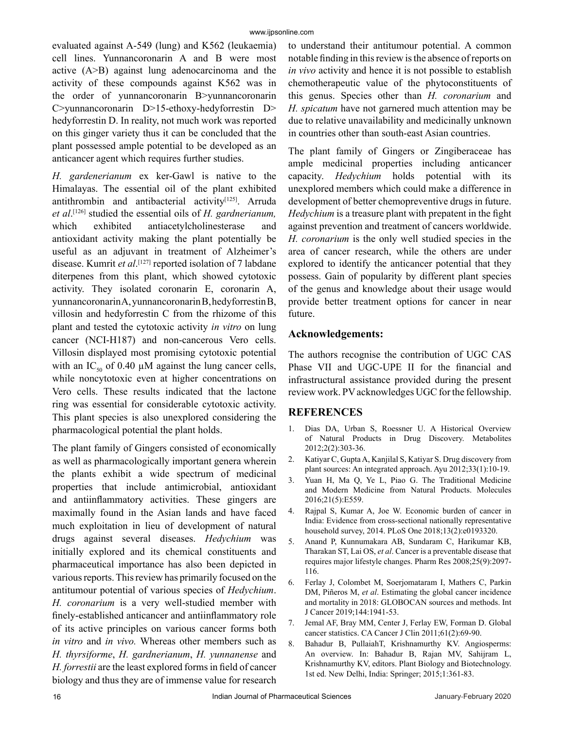evaluated against A-549 (lung) and K562 (leukaemia) cell lines. Yunnancoronarin A and B were most active (A>B) against lung adenocarcinoma and the activity of these compounds against K562 was in the order of yunnancoronarin B>yunnancoronarin C>yunnancoronarin D>15-ethoxy-hedyforrestin D> hedyforrestin D. In reality, not much work was reported on this ginger variety thus it can be concluded that the plant possessed ample potential to be developed as an anticancer agent which requires further studies.

*H. gardenerianum* ex ker-Gawl is native to the Himalayas. The essential oil of the plant exhibited antithrombin and antibacterial activity<sup>[125]</sup>. Arruda *et al*. [126] studied the essential oils of *H. gardnerianum,* which exhibited antiacetylcholinesterase and antioxidant activity making the plant potentially be useful as an adjuvant in treatment of Alzheimer's disease. Kumrit *et al*. [127] reported isolation of 7 labdane diterpenes from this plant, which showed cytotoxic activity. They isolated coronarin E, coronarin A, yunnancoronarin A, yunnancoronarin B, hedyforrestin B, villosin and hedyforrestin C from the rhizome of this plant and tested the cytotoxic activity *in vitro* on lung cancer (NCI-H187) and non-cancerous Vero cells. Villosin displayed most promising cytotoxic potential with an IC<sub>50</sub> of 0.40  $\mu$ M against the lung cancer cells, while noncytotoxic even at higher concentrations on Vero cells. These results indicated that the lactone ring was essential for considerable cytotoxic activity. This plant species is also unexplored considering the pharmacological potential the plant holds.

The plant family of Gingers consisted of economically as well as pharmacologically important genera wherein the plants exhibit a wide spectrum of medicinal properties that include antimicrobial, antioxidant and antiinflammatory activities. These gingers are maximally found in the Asian lands and have faced much exploitation in lieu of development of natural drugs against several diseases. *Hedychium* was initially explored and its chemical constituents and pharmaceutical importance has also been depicted in various reports. This review has primarily focused on the antitumour potential of various species of *Hedychium*. *H. coronarium* is a very well-studied member with finely-established anticancer and antiinflammatory role of its active principles on various cancer forms both *in vitro* and *in vivo.* Whereas other members such as *H. thyrsiforme*, *H. gardnerianum*, *H. yunnanense* and *H. forrestii* are the least explored forms in field of cancer biology and thus they are of immense value for research to understand their antitumour potential. A common notable finding in this review is the absence of reports on *in vivo* activity and hence it is not possible to establish chemotherapeutic value of the phytoconstituents of this genus. Species other than *H. coronarium* and *H. spicatum* have not garnered much attention may be due to relative unavailability and medicinally unknown in countries other than south-east Asian countries.

The plant family of Gingers or Zingiberaceae has ample medicinal properties including anticancer capacity. *Hedychium* holds potential with its unexplored members which could make a difference in development of better chemopreventive drugs in future. *Hedychium* is a treasure plant with prepatent in the fight against prevention and treatment of cancers worldwide. *H. coronarium* is the only well studied species in the area of cancer research, while the others are under explored to identify the anticancer potential that they possess. Gain of popularity by different plant species of the genus and knowledge about their usage would provide better treatment options for cancer in near future.

## **Acknowledgements:**

The authors recognise the contribution of UGC CAS Phase VII and UGC-UPE II for the financial and infrastructural assistance provided during the present review work. PV acknowledges UGC for the fellowship.

## **REFERENCES**

- 1. Dias DA, Urban S, Roessner U. A Historical Overview of Natural Products in Drug Discovery. Metabolites 2012;2(2):303-36.
- 2. Katiyar C, Gupta A, Kanjilal S, Katiyar S. Drug discovery from plant sources: An integrated approach. Ayu 2012;33(1):10-19.
- 3. Yuan H, Ma Q, Ye L, Piao G. The Traditional Medicine and Modern Medicine from Natural Products. Molecules 2016;21(5):E559.
- 4. Rajpal S, Kumar A, Joe W. Economic burden of cancer in India: Evidence from cross-sectional nationally representative household survey, 2014. PLoS One 2018;13(2):e0193320.
- 5. Anand P, Kunnumakara AB, Sundaram C, Harikumar KB, Tharakan ST, Lai OS, *et al*. Cancer is a preventable disease that requires major lifestyle changes. Pharm Res 2008;25(9):2097- 116.
- 6. Ferlay J, Colombet M, Soerjomataram I, Mathers C, Parkin DM, Piñeros M, *et al*. Estimating the global cancer incidence and mortality in 2018: GLOBOCAN sources and methods. Int J Cancer 2019;144:1941-53.
- 7. Jemal AF, Bray MM, Center J, Ferlay EW, Forman D. Global cancer statistics. CA Cancer J Clin 2011;61(2):69-90.
- 8. Bahadur B, PullaiahT, Krishnamurthy KV. Angiosperms: An overview. In: Bahadur B, Rajan MV, Sahijram L, Krishnamurthy KV, editors. Plant Biology and Biotechnology. 1st ed. New Delhi, India: Springer; 2015;1:361-83.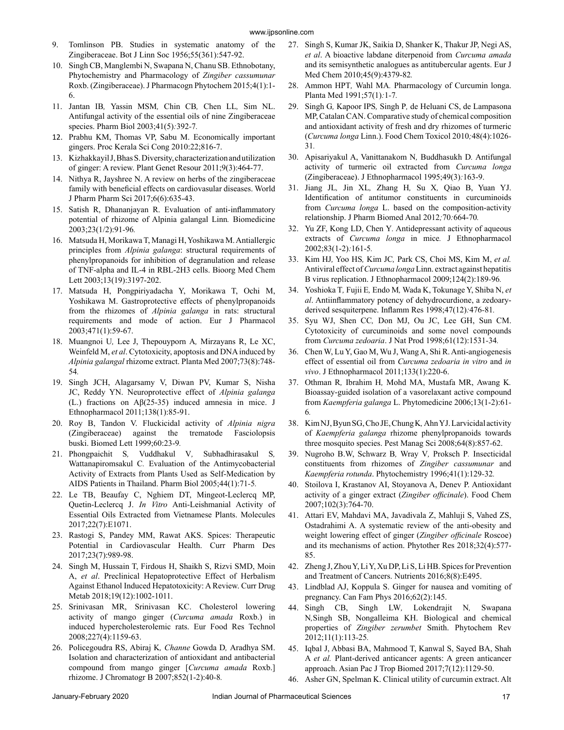- 9. Tomlinson PB. Studies in systematic anatomy of the Zingiberaceae. Bot J Linn Soc 1956;55(361):547-92.
- 10. Singh CB, Manglembi N, Swapana N, Chanu SB. Ethnobotany, Phytochemistry and Pharmacology of *Zingiber cassumunar* Roxb. (Zingiberaceae). J Pharmacogn Phytochem 2015;4(1):1- 6.
- 11. Jantan IB*,* Yassin MSM*,* Chin CB*,* Chen LL*,* Sim NL. Antifungal activity of the essential oils of nine Zingiberaceae species. Pharm Biol 2003;41(5)*:*392*-*7*.*
- 12. Prabhu KM, Thomas VP, Sabu M. Economically important gingers. Proc Kerala Sci Cong 2010:22;816-7.
- 13. Kizhakkayil J, Bhas S. Diversity, characterization and utilization of ginger: A review. Plant Genet Resour 2011;9(3):464-77.
- 14. Nithya R, Jayshree N. A review on herbs of the zingiberaceae family with beneficial effects on cardiovasular diseases. World J Pharm Pharm Sci 2017;6(6):635-43.
- 15. Satish R, Dhananjayan R. Evaluation of anti-inflammatory potential of rhizome of Alpinia galangal Linn*.* Biomedicine 2003;23(1/2):91*-*96*.*
- 16. Matsuda H, Morikawa T, Managi H, Yoshikawa M. Antiallergic principles from *Alpinia galanga*: structural requirements of phenylpropanoids for inhibition of degranulation and release of TNF-alpha and IL-4 in RBL-2H3 cells. Bioorg Med Chem Lett 2003;13(19):3197-202.
- 17. Matsuda H, Pongpiriyadacha Y, Morikawa T, Ochi M, Yoshikawa M. Gastroprotective effects of phenylpropanoids from the rhizomes of *Alpinia galanga* in rats: structural requirements and mode of action. Eur J Pharmacol 2003;471(1):59-67.
- 18. Muangnoi U*,* Lee J, Thepouyporn A*,* Mirzayans R, Le XC, Weinfeld M, *et al*. Cytotoxicity, apoptosis and DNA induced by *Alpinia galangal* rhizome extract. Planta Med 2007;73(8):748*-* 54*.*
- 19. Singh JCH, Alagarsamy V, Diwan PV, Kumar S, Nisha JC, Reddy YN. Neuroprotective effect of *Alpinia galanga* (L.) fractions on  $\mathcal{A}\beta(25-35)$  induced amnesia in mice. J Ethnopharmacol 2011;138(1):85-91.
- 20. Roy B, Tandon V. Fluckicidal activity of *Alpinia nigra*  (Zingiberaceae) against the trematode Fasciolopsis buski. Biomed Lett 1999;60:23-9*.*
- 21. Phongpaichit S*,* Vuddhakul V*,* Subhadhirasakul S*,* Wattanapiromsakul C*.* Evaluation of the Antimycobacterial Activity of Extracts from Plants Used as Self-Medication by AIDS Patients in Thailand. Pharm Biol 2005;44(1):71*-*5*.*
- 22. Le TB, Beaufay C, Nghiem DT, Mingeot-Leclercq MP, Quetin-Leclercq J. *In Vitro* Anti-Leishmanial Activity of Essential Oils Extracted from Vietnamese Plants. Molecules 2017;22(7):E1071.
- 23. Rastogi S, Pandey MM, Rawat AKS. Spices: Therapeutic Potential in Cardiovascular Health. Curr Pharm Des 2017;23(7):989-98.
- 24. Singh M, Hussain T, Firdous H, Shaikh S, Rizvi SMD, Moin A, *et al*. Preclinical Hepatoprotective Effect of Herbalism Against Ethanol Induced Hepatotoxicity: A Review. Curr Drug Metab 2018;19(12):1002-1011.
- 25. Srinivasan MR, Srinivasan KC. Cholesterol lowering activity of mango ginger (*Curcuma amada* Roxb.) in induced hypercholesterolemic rats. Eur Food Res Technol 2008;227(4):1159-63.
- 26. Policegoudra RS, Abiraj K*, Channe* Gowda D*,* Aradhya SM. Isolation and characterization of antioxidant and antibacterial compound from mango ginger [*Curcuma amada* Roxb.] rhizome. J Chromatogr B 2007;852(1-2):40*-*8*.*
- 27. Singh S, Kumar JK, Saikia D, Shanker K, Thakur JP, Negi AS, *et al*. A bioactive labdane diterpenoid from *Curcuma amada* and its semisynthetic analogues as antitubercular agents. Eur J Med Chem 2010;45(9):4379-82*.*
- 28. Ammon HPT*,* Wahl MA*.* Pharmacology of Curcumin longa. Planta Med 1991;57(1)*:*1*-*7*.*
- 29. Singh G*,* Kapoor IPS*,* Singh P*,* de Heluani CS, de Lampasona MP, Catalan CAN. Comparative study of chemical composition and antioxidant activity of fresh and dry rhizomes of turmeric (*Curcuma longa* Linn.). Food Chem Toxicol 2010*;*48(4):1026*-* 31*.*
- 30. Apisariyakul A, Vanittanakom N*,* Buddhasukh D*.* Antifungal activity of turmeric oil extracted from *Curcuma longa* (Zingiberaceae). J Ethnopharmacol 1995;49(3)*:*163-9.
- 31. Jiang JL*,* Jin XL*,* Zhang H*,* Su X*,* Qiao B, Yuan YJ. Identification of antitumor constituents in curcuminoids from *Curcuma longa* L. based on the composition-activity relationship. J Pharm Biomed Anal 2012*;*70*:*664-70*.*
- 32. Yu ZF, Kong LD, Chen Y*.* Antidepressant activity of aqueous extracts of *Curcuma longa* in mice*.* J Ethnopharmacol 2002;83(1-2)*:*161-5*.*
- 33. Kim HJ*,* Yoo HS*,* Kim JC*,* Park CS, Choi MS, Kim M, *et al.*  Antiviral effect of *Curcuma longa* Linn. extract against hepatitis B virus replication. J Ethnopharmacol 2009;124(2):189*-*96*.*
- 34. Yoshioka T*,* Fujii E*,* Endo M*,* Wada K, Tokunage Y, Shiba N, *et al*. Antiinflammatory potency of dehydrocurdione, a zedoaryderived sesquiterpene. Inflamm Res 1998;47(12)*:*476*-*81*.*
- 35. Syu WJ, Shen CC*,* Don MJ, Ou JC, Lee GH, Sun CM. Cytotoxicity of curcuminoids and some novel compounds from *Curcuma zedoaria*. J Nat Prod 1998;61(12):1531*-*34*.*
- 36. Chen W, Lu Y, Gao M, Wu J, Wang A, Shi R. Anti-angiogenesis effect of essential oil from *Curcuma zedoaria in vitro* and *in vivo*. J Ethnopharmacol 2011;133(1):220-6.
- 37. Othman R*,* Ibrahim H*,* Mohd MA, Mustafa MR, Awang K*.* Bioassay-guided isolation of a vasorelaxant active compound from *Kaempferia galanga* L. Phytomedicine 2006;13(1-2):61*-* 6*.*
- 38. KimNJ,ByunSG,ChoJE,ChungK*,* AhnYJ.Larvicidal activity of *Kaempferia galanga* rhizome phenylpropanoids towards three mosquito species. Pest Manag Sci 2008;64(8):857*-*62.
- 39. Nugroho B.W, Schwarz B*,* Wray V*,* Proksch P*.* Insecticidal constituents from rhizomes of *Zingiber cassumunar* and *Kaempferia rotunda*. Phytochemistry 1996;41(1):129*-*32*.*
- 40. Stoilova I, Krastanov AI, Stoyanova A, Denev P. Antioxidant activity of a ginger extract (*Zingiber officinale*). Food Chem 2007;102(3):764-70.
- 41. Attari EV, Mahdavi MA, Javadivala Z, Mahluji S, Vahed ZS, Ostadrahimi A. A systematic review of the anti-obesity and weight lowering effect of ginger (*Zingiber officinale* Roscoe) and its mechanisms of action. Phytother Res 2018;32(4):577- 85.
- 42. Zheng J, Zhou Y, Li Y, Xu DP, Li S, Li HB. Spices for Prevention and Treatment of Cancers. Nutrients 2016;8(8):E495.
- 43. Lindblad AJ, Koppula S. Ginger for nausea and vomiting of pregnancy. Can Fam Phys 2016;62(2):145.
- 44. Singh CB, Singh LW*,* Lokendrajit N*,* Swapana N*,*Singh SB, Nongalleima KH. Biological and chemical properties of *Zingiber zerumbet* Smith. Phytochem Rev 2012;11(1):113*-*25*.*
- 45. Iqbal J, Abbasi BA, Mahmood T, Kanwal S, Sayed BA, Shah A *et al.* Plant-derived anticancer agents: A green anticancer approach. Asian Pac J Trop Biomed 2017;7(12):1129-50.
- 46. Asher GN, Spelman K. Clinical utility of curcumin extract. Alt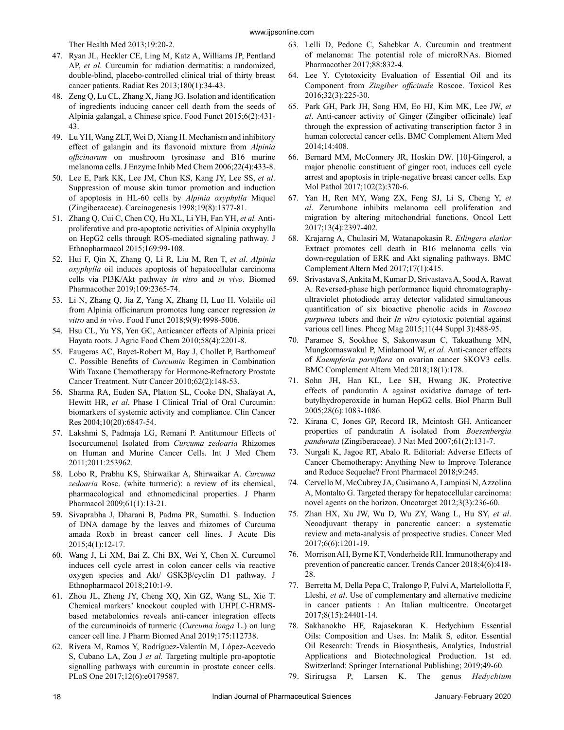Ther Health Med 2013;19:20-2.

- 47. Ryan JL, Heckler CE, Ling M, Katz A, Williams JP, Pentland AP, *et al*. Curcumin for radiation dermatitis: a randomized, double-blind, placebo-controlled clinical trial of thirty breast cancer patients. Radiat Res 2013;180(1):34-43.
- 48. Zeng Q, Lu CL, Zhang X, Jiang JG. Isolation and identification of ingredients inducing cancer cell death from the seeds of Alpinia galangal, a Chinese spice. Food Funct 2015;6(2):431- 43.
- 49. Lu YH, Wang ZLT, Wei D, Xiang H. Mechanism and inhibitory effect of galangin and its flavonoid mixture from *Alpinia officinarum* on mushroom tyrosinase and B16 murine melanoma cells. J Enzyme Inhib Med Chem 2006;22(4):433-8.
- 50. Lee E, Park KK, Lee JM, Chun KS, Kang JY, Lee SS, *et al*. Suppression of mouse skin tumor promotion and induction of apoptosis in HL-60 cells by *Alpinia oxyphylla* Miquel (Zingiberaceae). Carcinogenesis 1998;19(8):1377-81.
- 51. Zhang Q, Cui C, Chen CQ, Hu XL, Li YH, Fan YH, *et al.* Antiproliferative and pro-apoptotic activities of Alpinia oxyphylla on HepG2 cells through ROS-mediated signaling pathway. J Ethnopharmacol 2015;169:99-108.
- 52. Hui F, Qin X, Zhang Q, Li R, Liu M, Ren T, *et al*. *Alpinia oxyphylla* oil induces apoptosis of hepatocellular carcinoma cells via PI3K/Akt pathway *in vitro* and *in vivo*. Biomed Pharmacother 2019;109:2365-74.
- 53. Li N, Zhang Q, Jia Z, Yang X, Zhang H, Luo H. Volatile oil from Alpinia officinarum promotes lung cancer regression *in vitro* and *in vivo*. Food Funct 2018;9(9):4998-5006.
- 54. Hsu CL, Yu YS, Yen GC, Anticancer effects of Alpinia pricei Hayata roots. J Agric Food Chem 2010;58(4):2201-8.
- 55. Faugeras AC, Bayet-Robert M, Bay J, Chollet P, Barthomeuf C. Possible Benefits of *Curcumin* Regimen in Combination With Taxane Chemotherapy for Hormone-Refractory Prostate Cancer Treatment. Nutr Cancer 2010;62(2):148-53.
- 56. Sharma RA, Euden SA, Platton SL, Cooke DN, Shafayat A, Hewitt HR, *et al*. Phase I Clinical Trial of Oral Curcumin: biomarkers of systemic activity and compliance. Clin Cancer Res 2004;10(20):6847-54.
- 57. Lakshmi S, Padmaja LG, Remani P. Antitumour Effects of Isocurcumenol Isolated from *Curcuma zedoaria* Rhizomes on Human and Murine Cancer Cells. Int J Med Chem 2011;2011:253962.
- 58. Lobo R, Prabhu KS, Shirwaikar A, Shirwaikar A. *Curcuma zedoaria* Rosc. (white turmeric): a review of its chemical, pharmacological and ethnomedicinal properties. J Pharm Pharmacol 2009;61(1):13-21.
- 59. Sivaprabha J, Dharani B, Padma PR, Sumathi. S. Induction of DNA damage by the leaves and rhizomes of Curcuma amada Roxb in breast cancer cell lines. J Acute Dis 2015;4(1):12-17.
- 60. Wang J, Li XM, Bai Z, Chi BX, Wei Y, Chen X. Curcumol induces cell cycle arrest in colon cancer cells via reactive oxygen species and Akt/ GSK3β/cyclin D1 pathway. J Ethnopharmacol 2018;210:1-9.
- 61. Zhou JL, Zheng JY, Cheng XQ, Xin GZ, Wang SL, Xie T. Chemical markers' knockout coupled with UHPLC-HRMSbased metabolomics reveals anti-cancer integration effects of the curcuminoids of turmeric (*Curcuma longa* L.) on lung cancer cell line. J Pharm Biomed Anal 2019;175:112738.
- 62. Rivera M, Ramos Y, Rodríguez-Valentín M, López-Acevedo S, Cubano LA, Zou J *et al.* Targeting multiple pro-apoptotic signalling pathways with curcumin in prostate cancer cells. PLoS One 2017;12(6):e0179587.
- 63. Lelli D, Pedone C, Sahebkar A. Curcumin and treatment of melanoma: The potential role of microRNAs. Biomed Pharmacother 2017;88:832-4.
- 64. Lee Y. Cytotoxicity Evaluation of Essential Oil and its Component from *Zingiber officinale* Roscoe. Toxicol Res 2016;32(3):225-30.
- 65. Park GH, Park JH, Song HM, Eo HJ, Kim MK, Lee JW, *et al*. Anti-cancer activity of Ginger (Zingiber officinale) leaf through the expression of activating transcription factor 3 in human colorectal cancer cells. BMC Complement Altern Med 2014;14:408.
- 66. Bernard MM, McConnery JR, Hoskin DW. [10]-Gingerol, a major phenolic constituent of ginger root, induces cell cycle arrest and apoptosis in triple-negative breast cancer cells. Exp Mol Pathol 2017;102(2):370-6.
- 67. Yan H, Ren MY, Wang ZX, Feng SJ, Li S, Cheng Y, *et al*. Zerumbone inhibits melanoma cell proliferation and migration by altering mitochondrial functions. Oncol Lett 2017;13(4):2397-402.
- 68. Krajarng A, Chulasiri M, Watanapokasin R. *Etlingera elatior* Extract promotes cell death in B16 melanoma cells via down-regulation of ERK and Akt signaling pathways. BMC Complement Altern Med 2017;17(1):415.
- 69. Srivastava S, Ankita M, Kumar D, Srivastava A, Sood A, Rawat A. Reversed-phase high performance liquid chromatographyultraviolet photodiode array detector validated simultaneous quantification of six bioactive phenolic acids in *Roscoea purpurea* tubers and their *In vitro* cytotoxic potential against various cell lines. Phcog Mag 2015;11(44 Suppl 3):488-95.
- 70. Paramee S, Sookhee S, Sakonwasun C, Takuathung MN, Mungkornaswakul P, Minlamool W, *et al.* Anti-cancer effects of *Kaempferia parviflora* on ovarian cancer SKOV3 cells. BMC Complement Altern Med 2018;18(1):178.
- 71. Sohn JH, Han KL, Lee SH, Hwang JK. Protective effects of panduratin A against oxidative damage of tertbutylhydroperoxide in human HepG2 cells. Biol Pharm Bull 2005;28(6):1083-1086.
- 72. Kirana C, Jones GP, Record IR, Mcintosh GH. Anticancer properties of panduratin A isolated from *Boesenbergia pandurata* (Zingiberaceae). J Nat Med 2007;61(2):131-7.
- 73. Nurgali K, Jagoe RT, Abalo R. Editorial: Adverse Effects of Cancer Chemotherapy: Anything New to Improve Tolerance and Reduce Sequelae? Front Pharmacol 2018;9:245.
- 74. Cervello M, McCubrey JA, Cusimano A, Lampiasi N, Azzolina A, Montalto G. Targeted therapy for hepatocellular carcinoma: novel agents on the horizon. Oncotarget 2012;3(3):236-60.
- 75. Zhan HX, Xu JW, Wu D, Wu ZY, Wang L, Hu SY, *et al*. Neoadjuvant therapy in pancreatic cancer: a systematic review and meta-analysis of prospective studies. Cancer Med 2017;6(6):1201-19.
- 76. Morrison AH, Byrne KT, Vonderheide RH. Immunotherapy and prevention of pancreatic cancer. Trends Cancer 2018;4(6):418- 28.
- 77. Berretta M, Della Pepa C, Tralongo P, Fulvi A, Martelollotta F, Lleshi, *et al*. Use of complementary and alternative medicine in cancer patients : An Italian multicentre. Oncotarget 2017;8(15):24401-14.
- 78. Sakhanokho HF, Rajasekaran K. Hedychium Essential Oils: Composition and Uses. In: Malik S, editor. Essential Oil Research: Trends in Biosynthesis, Analytics, Industrial Applications and Biotechnological Production. 1st ed. Switzerland: Springer International Publishing; 2019;49-60.
- 79. Sirirugsa P, Larsen K. The genus *Hedychium*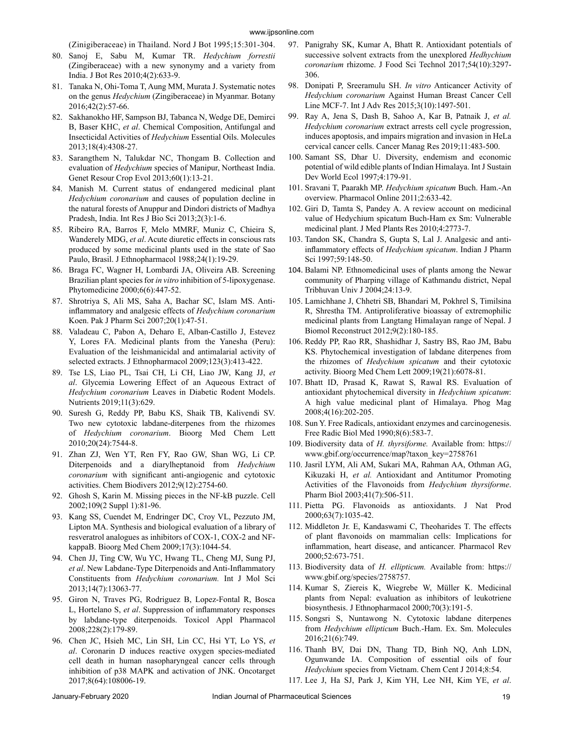(Zinigiberaceae) in Thailand. Nord J Bot 1995;15:301-304.

- 80. Sanoj E, Sabu M, Kumar TR. *Hedychium forrestii* (Zingiberaceae) with a new synonymy and a variety from India. J Bot Res 2010;4(2):633-9.
- 81. Tanaka N, Ohi-Toma T, Aung MM, Murata J. Systematic notes on the genus *Hedychium* (Zingiberaceae) in Myanmar. Botany 2016;42(2):57-66.
- 82. Sakhanokho HF, Sampson BJ, Tabanca N, Wedge DE, Demirci B, Baser KHC, *et al*. Chemical Composition, Antifungal and Insecticidal Activities of *Hedychium* Essential Oils. Molecules 2013;18(4):4308-27.
- 83. Sarangthem N, Talukdar NC, Thongam B. Collection and evaluation of *Hedychium* species of Manipur, Northeast India. Genet Resour Crop Evol 2013;60(1):13-21.
- 84. Manish M. Current status of endangered medicinal plant *Hedychium coronarium* and causes of population decline in the natural forests of Anuppur and Dindori districts of Madhya Pradesh, India. Int Res J Bio Sci 2013;2(3):1-6.
- 85. Ribeiro RA, Barros F, Melo MMRF, Muniz C, Chieira S, Wanderely MDG, *et al*. Acute diuretic effects in conscious rats produced by some medicinal plants used in the state of Sao Paulo, Brasil. J Ethnopharmacol 1988;24(1):19-29.
- 86. Braga FC, Wagner H, Lombardi JA, Oliveira AB. Screening Brazilian plant species for *in vitro* inhibition of 5-lipoxygenase. Phytomedicine 2000;6(6):447-52.
- 87. Shrotriya S, Ali MS, Saha A, Bachar SC, Islam MS. Antiinflammatory and analgesic effects of *Hedychium coronarium*  Koen. Pak J Pharm Sci 2007;20(1):47-51.
- 88. Valadeau C, Pabon A, Deharo E, Alban-Castillo J, Estevez Y, Lores FA. Medicinal plants from the Yanesha (Peru): Evaluation of the leishmanicidal and antimalarial activity of selected extracts. J Ethnopharmacol 2009;123(3):413-422.
- 89. Tse LS, Liao PL, Tsai CH, Li CH, Liao JW, Kang JJ, *et al*. Glycemia Lowering Effect of an Aqueous Extract of *Hedychium coronarium* Leaves in Diabetic Rodent Models. Nutrients 2019;11(3):629.
- 90. Suresh G, Reddy PP, Babu KS, Shaik TB, Kalivendi SV. Two new cytotoxic labdane-diterpenes from the rhizomes of *Hedychium coronarium*. Bioorg Med Chem Lett 2010;20(24):7544-8.
- 91. Zhan ZJ, Wen YT, Ren FY, Rao GW, Shan WG, Li CP. Diterpenoids and a diarylheptanoid from *Hedychium coronarium* with significant anti-angiogenic and cytotoxic activities. Chem Biodivers 2012;9(12):2754-60.
- 92. Ghosh S, Karin M. Missing pieces in the NF-kB puzzle. Cell 2002;109(2 Suppl 1):81-96.
- 93. Kang SS, Cuendet M, Endringer DC, Croy VL, Pezzuto JM, Lipton MA. Synthesis and biological evaluation of a library of resveratrol analogues as inhibitors of COX-1, COX-2 and NFkappaB. Bioorg Med Chem 2009;17(3):1044-54.
- 94. Chen JJ, Ting CW, Wu YC, Hwang TL, Cheng MJ, Sung PJ, *et al*. New Labdane-Type Diterpenoids and Anti-Inflammatory Constituents from *Hedychium coronarium.* Int J Mol Sci 2013;14(7):13063-77.
- 95. Giron N, Traves PG, Rodriguez B, Lopez-Fontal R, Bosca L, Hortelano S, *et al*. Suppression of inflammatory responses by labdane-type diterpenoids. Toxicol Appl Pharmacol 2008;228(2):179-89.
- 96. Chen JC, Hsieh MC, Lin SH, Lin CC, Hsi YT, Lo YS, *et al*. Coronarin D induces reactive oxygen species-mediated cell death in human nasopharyngeal cancer cells through inhibition of p38 MAPK and activation of JNK. Oncotarget 2017;8(64):108006-19.
- 97. Panigrahy SK, Kumar A, Bhatt R. Antioxidant potentials of successive solvent extracts from the unexplored *Hedhychium coronarium* rhizome. J Food Sci Technol 2017;54(10):3297- 306.
- 98. Donipati P, Sreeramulu SH. *In vitro* Anticancer Activity of *Hedychium coronarium* Against Human Breast Cancer Cell Line MCF-7. Int J Adv Res 2015;3(10):1497-501.
- 99. Ray A, Jena S, Dash B, Sahoo A, Kar B, Patnaik J, *et al. Hedychium coronarium* extract arrests cell cycle progression, induces apoptosis, and impairs migration and invasion in HeLa cervical cancer cells. Cancer Manag Res 2019;11:483-500.
- 100. Samant SS, Dhar U. Diversity, endemism and economic potential of wild edible plants of Indian Himalaya. Int J Sustain Dev World Ecol 1997;4:179-91.
- 101. Sravani T, Paarakh MP. *Hedychium spicatum* Buch. Ham.-An overview. Pharmacol Online 2011;2:633-42.
- 102. Giri D, Tamta S, Pandey A. A review account on medicinal value of Hedychium spicatum Buch-Ham ex Sm: Vulnerable medicinal plant. J Med Plants Res 2010;4:2773-7.
- 103. Tandon SK, Chandra S, Gupta S, Lal J. Analgesic and antiinflammatory effects of *Hedychium spicatum*. Indian J Pharm Sci 1997;59:148-50.
- 104. Balami NP. Ethnomedicinal uses of plants among the Newar community of Pharping village of Kathmandu district, Nepal Tribhuvan Univ J 2004;24:13-9.
- 105. Lamichhane J, Chhetri SB, Bhandari M, Pokhrel S, Timilsina R, Shrestha TM. Antiproliferative bioassay of extremophilic medicinal plants from Langtang Himalayan range of Nepal. J Biomol Reconstruct 2012;9(2):180-185.
- 106. Reddy PP, Rao RR, Shashidhar J, Sastry BS, Rao JM, Babu KS. Phytochemical investigation of labdane diterpenes from the rhizomes of *Hedychium spicatum* and their cytotoxic activity. Bioorg Med Chem Lett 2009;19(21):6078-81.
- 107. Bhatt ID, Prasad K, Rawat S, Rawal RS. Evaluation of antioxidant phytochemical diversity in *Hedychium spicatum*: A high value medicinal plant of Himalaya. Phog Mag 2008;4(16):202-205.
- 108. Sun Y. Free Radicals, antioxidant enzymes and carcinogenesis. Free Radic Biol Med 1990;8(6):583-7.
- 109. Biodiversity data of *H. thyrsiforme.* Available from: https:// www.gbif.org/occurrence/map?taxon\_key=2758761
- 110. Jasril LYM, Ali AM, Sukari MA, Rahman AA, Othman AG, Kikuzaki H, *et al.* Antioxidant and Antitumor Promoting Activities of the Flavonoids from *Hedychium thyrsiforme*. Pharm Biol 2003;41(7):506-511.
- 111. Pietta PG. Flavonoids as antioxidants. J Nat Prod 2000;63(7):1035-42.
- 112. Middleton Jr. E, Kandaswami C, Theoharides T. The effects of plant flavonoids on mammalian cells: Implications for inflammation, heart disease, and anticancer. Pharmacol Rev 2000;52:673-751.
- 113. Biodiversity data of *H. ellipticum.* Available from: https:// www.gbif.org/species/2758757.
- 114. Kumar S, Ziereis K, Wiegrebe W, Müller K. Medicinal plants from Nepal: evaluation as inhibitors of leukotriene biosynthesis. J Ethnopharmacol 2000;70(3):191-5.
- 115. Songsri S, Nuntawong N. Cytotoxic labdane diterpenes from *Hedychium ellipticum* Buch.-Ham. Ex. Sm. Molecules 2016;21(6):749.
- 116. Thanh BV, Dai DN, Thang TD, Binh NQ, Anh LDN, Ogunwande IA. Composition of essential oils of four *Hedychium* species from Vietnam. Chem Cent J 2014;8:54.
- 117. Lee J, Ha SJ, Park J, Kim YH, Lee NH, Kim YE, *et al*.